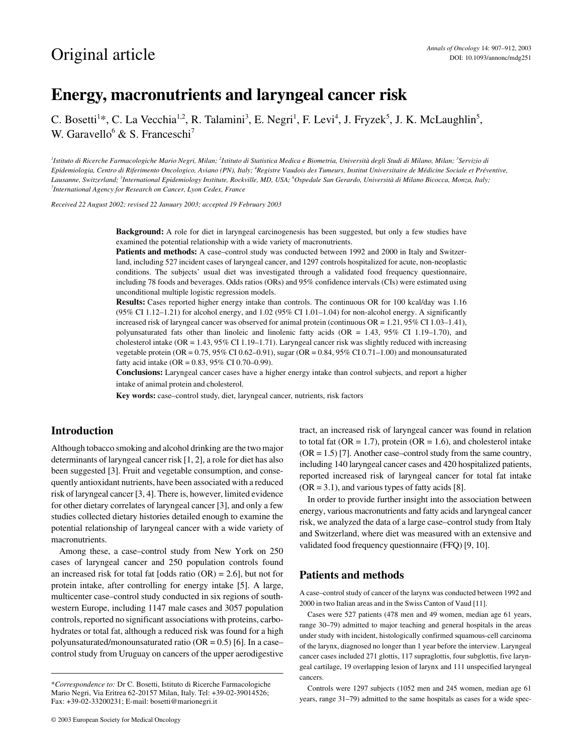# **Energy, macronutrients and laryngeal cancer risk**

C. Bosetti<sup>1\*</sup>, C. La Vecchia<sup>1,2</sup>, R. Talamini<sup>3</sup>, E. Negri<sup>1</sup>, F. Levi<sup>4</sup>, J. Fryzek<sup>5</sup>, J. K. McLaughlin<sup>5</sup>, W. Garavello<sup>6</sup> & S. Franceschi<sup>7</sup>

<sup>1</sup>Istituto di Ricerche Farmacologiche Mario Negri, Milan; <sup>2</sup>Istituto di Statistica Medica e Biometria, Università degli Studi di Milano, Milan; <sup>3</sup>Servizio di *Epidemiologia, Centro di Riferimento Oncologico, Aviano (PN), Italy; 4 Registre Vaudois des Tumeurs, Institut Universitaire de Médicine Sociale et Préventive,*  Lausanne, Switzerland; <sup>5</sup>International Epidemiology Institute, Rockville, MD, USA; <sup>6</sup>Ospedale San Gerardo, Università di Milano Bicocca, Monza, Italy;<br><sup>7</sup>International Agenew for Persarah en Cangar Lyon Cadex, France. *International Agency for Research on Cancer, Lyon Cedex, France*

*Received 22 August 2002; revised 22 January 2003; accepted 19 February 2003*

**Background:** A role for diet in laryngeal carcinogenesis has been suggested, but only a few studies have examined the potential relationship with a wide variety of macronutrients.

Patients and methods: A case-control study was conducted between 1992 and 2000 in Italy and Switzerland, including 527 incident cases of laryngeal cancer, and 1297 controls hospitalized for acute, non-neoplastic conditions. The subjects' usual diet was investigated through a validated food frequency questionnaire, including 78 foods and beverages. Odds ratios (ORs) and 95% confidence intervals (CIs) were estimated using unconditional multiple logistic regression models.

**Results:** Cases reported higher energy intake than controls. The continuous OR for 100 kcal/day was 1.16 (95% CI 1.12–1.21) for alcohol energy, and 1.02 (95% CI 1.01–1.04) for non-alcohol energy. A significantly increased risk of laryngeal cancer was observed for animal protein (continuous OR = 1.21, 95% CI 1.03–1.41), polyunsaturated fats other than linoleic and linolenic fatty acids (OR = 1.43,  $95\%$  CI 1.19–1.70), and cholesterol intake (OR = 1.43, 95% CI 1.19–1.71). Laryngeal cancer risk was slightly reduced with increasing vegetable protein (OR =  $0.75$ , 95% CI 0.62–0.91), sugar (OR =  $0.84$ , 95% CI 0.71–1.00) and monounsaturated fatty acid intake (OR = 0.83, 95% CI 0.70–0.99).

**Conclusions:** Laryngeal cancer cases have a higher energy intake than control subjects, and report a higher intake of animal protein and cholesterol.

**Key words:** case–control study, diet, laryngeal cancer, nutrients, risk factors

# **Introduction**

Although tobacco smoking and alcohol drinking are the two major determinants of laryngeal cancer risk [1, 2], a role for diet has also been suggested [3]. Fruit and vegetable consumption, and consequently antioxidant nutrients, have been associated with a reduced risk of laryngeal cancer [3, 4]. There is, however, limited evidence for other dietary correlates of laryngeal cancer [3], and only a few studies collected dietary histories detailed enough to examine the potential relationship of laryngeal cancer with a wide variety of macronutrients.

Among these, a case–control study from New York on 250 cases of laryngeal cancer and 250 population controls found an increased risk for total fat [odds ratio  $(OR) = 2.6$ ], but not for protein intake, after controlling for energy intake [5]. A large, multicenter case–control study conducted in six regions of southwestern Europe, including 1147 male cases and 3057 population controls, reported no significant associations with proteins, carbohydrates or total fat, although a reduced risk was found for a high polyunsaturated/monounsaturated ratio ( $OR = 0.5$ ) [6]. In a case– control study from Uruguay on cancers of the upper aerodigestive tract, an increased risk of laryngeal cancer was found in relation to total fat ( $OR = 1.7$ ), protein ( $OR = 1.6$ ), and cholesterol intake  $(OR = 1.5)$  [7]. Another case–control study from the same country, including 140 laryngeal cancer cases and 420 hospitalized patients, reported increased risk of laryngeal cancer for total fat intake  $(OR = 3.1)$ , and various types of fatty acids [8].

In order to provide further insight into the association between energy, various macronutrients and fatty acids and laryngeal cancer risk, we analyzed the data of a large case–control study from Italy and Switzerland, where diet was measured with an extensive and validated food frequency questionnaire (FFQ) [9, 10].

#### **Patients and methods**

A case–control study of cancer of the larynx was conducted between 1992 and 2000 in two Italian areas and in the Swiss Canton of Vaud [11].

Cases were 527 patients (478 men and 49 women, median age 61 years, range 30–79) admitted to major teaching and general hospitals in the areas under study with incident, histologically confirmed squamous-cell carcinoma of the larynx, diagnosed no longer than 1 year before the interview. Laryngeal cancer cases included 271 glottis, 117 supraglottis, four subglottis, five laryngeal cartilage, 19 overlapping lesion of larynx and 111 unspecified laryngeal cancers.

Controls were 1297 subjects (1052 men and 245 women, median age 61 years, range 31–79) admitted to the same hospitals as cases for a wide spec-

<sup>\*</sup>*Correspondence to:* Dr C. Bosetti, Istituto di Ricerche Farmacologiche Mario Negri, Via Eritrea 62-20157 Milan, Italy. Tel: +39-02-39014526; Fax: +39-02-33200231; E-mail: bosetti@marionegri.it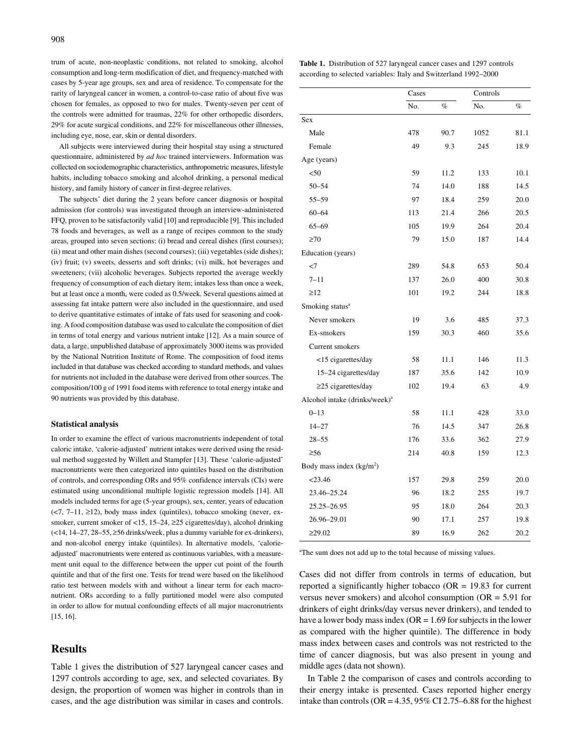trum of acute, non-neoplastic conditions, not related to smoking, alcohol consumption and long-term modification of diet, and frequency-matched with cases by 5-year age groups, sex and area of residence. To compensate for the rarity of laryngeal cancer in women, a control-to-case ratio of about five was chosen for females, as opposed to two for males. Twenty-seven per cent of the controls were admitted for traumas, 22% for other orthopedic disorders, 29% for acute surgical conditions, and 22% for miscellaneous other illnesses, including eye, nose, ear, skin or dental disorders.

All subjects were interviewed during their hospital stay using a structured questionnaire, administered by *ad hoc* trained interviewers. Information was collected on sociodemographic characteristics, anthropometric measures, lifestyle habits, including tobacco smoking and alcohol drinking, a personal medical history, and family history of cancer in first-degree relatives.

The subjects' diet during the 2 years before cancer diagnosis or hospital admission (for controls) was investigated through an interview-administered FFQ, proven to be satisfactorily valid [10] and reproducible [9]. This included 78 foods and beverages, as well as a range of recipes common to the study areas, grouped into seven sections: (i) bread and cereal dishes (first courses); (ii) meat and other main dishes (second courses); (iii) vegetables (side dishes); (iv) fruit; (v) sweets, desserts and soft drinks; (vi) milk, hot beverages and sweeteners; (vii) alcoholic beverages. Subjects reported the average weekly frequency of consumption of each dietary item; intakes less than once a week, but at least once a month, were coded as 0.5/week. Several questions aimed at assessing fat intake pattern were also included in the questionnaire, and used to derive quantitative estimates of intake of fats used for seasoning and cooking. A food composition database was used to calculate the composition of diet in terms of total energy and various nutrient intake [12]. As a main source of data, a large, unpublished database of approximately 3000 items was provided by the National Nutrition Institute of Rome. The composition of food items included in that database was checked according to standard methods, and values for nutrients not included in the database were derived from other sources. The composition/100 g of 1991 food items with reference to total energy intake and 90 nutrients was provided by this database.

#### **Statistical analysis**

In order to examine the effect of various macronutrients independent of total caloric intake, 'calorie-adjusted' nutrient intakes were derived using the residual method suggested by Willett and Stampfer [13]. These 'calorie-adjusted' macronutrients were then categorized into quintiles based on the distribution of controls, and corresponding ORs and 95% confidence intervals (CIs) were estimated using unconditional multiple logistic regression models [14]. All models included terms for age (5-year groups), sex, center, years of education  $(\leq 7, 7-11, \geq 12)$ , body mass index (quintiles), tobacco smoking (never, exsmoker, current smoker of <15, 15–24, ≥25 cigarettes/day), alcohol drinking (<14, 14–27, 28–55, ≥56 drinks/week, plus a dummy variable for ex-drinkers), and non-alcohol energy intake (quintiles). In alternative models, 'calorieadjusted' macronutrients were entered as continuous variables, with a measurement unit equal to the difference between the upper cut point of the fourth quintile and that of the first one. Tests for trend were based on the likelihood ratio test between models with and without a linear term for each macronutrient. ORs according to a fully partitioned model were also computed in order to allow for mutual confounding effects of all major macronutrients [15, 16].

## **Results**

Table 1 gives the distribution of 527 laryngeal cancer cases and 1297 controls according to age, sex, and selected covariates. By design, the proportion of women was higher in controls than in cases, and the age distribution was similar in cases and controls.

|                                                                  |  | <b>Table 1.</b> Distribution of 527 laryngeal cancer cases and 1297 controls |
|------------------------------------------------------------------|--|------------------------------------------------------------------------------|
| according to selected variables: Italy and Switzerland 1992–2000 |  |                                                                              |

|                                           | Cases |      | Controls |      |
|-------------------------------------------|-------|------|----------|------|
|                                           | No.   | $\%$ | No.      | $\%$ |
| Sex                                       |       |      |          |      |
| Male                                      | 478   | 90.7 | 1052     | 81.1 |
| Female                                    | 49    | 9.3  | 245      | 18.9 |
| Age (years)                               |       |      |          |      |
| < 50                                      | 59    | 11.2 | 133      | 10.1 |
| $50 - 54$                                 | 74    | 14.0 | 188      | 14.5 |
| 55–59                                     | 97    | 18.4 | 259      | 20.0 |
| $60 - 64$                                 | 113   | 21.4 | 266      | 20.5 |
| $65 - 69$                                 | 105   | 19.9 | 264      | 20.4 |
| $\geq 70$                                 | 79    | 15.0 | 187      | 14.4 |
| Education (years)                         |       |      |          |      |
| $<$ 7                                     | 289   | 54.8 | 653      | 50.4 |
| $7 - 11$                                  | 137   | 26.0 | 400      | 30.8 |
| $\geq$ 12                                 | 101   | 19.2 | 244      | 18.8 |
| Smoking status <sup>a</sup>               |       |      |          |      |
| Never smokers                             | 19    | 3.6  | 485      | 37.3 |
| Ex-smokers                                | 159   | 30.3 | 460      | 35.6 |
| Current smokers                           |       |      |          |      |
| <15 cigarettes/day                        | 58    | 11.1 | 146      | 11.3 |
| 15-24 cigarettes/day                      | 187   | 35.6 | 142      | 10.9 |
| $\geq$ 25 cigarettes/day                  | 102   | 19.4 | 63       | 4.9  |
| Alcohol intake (drinks/week) <sup>a</sup> |       |      |          |      |
| $0 - 13$                                  | 58    | 11.1 | 428      | 33.0 |
| $14 - 27$                                 | 76    | 14.5 | 347      | 26.8 |
| $28 - 55$                                 | 176   | 33.6 | 362      | 27.9 |
| $\geq 56$                                 | 214   | 40.8 | 159      | 12.3 |
| Body mass index $(kg/m2)$                 |       |      |          |      |
| < 23.46                                   | 157   | 29.8 | 259      | 20.0 |
| 23.46-25.24                               | 96    | 18.2 | 255      | 19.7 |
| 25.25-26.95                               | 95    | 18.0 | 264      | 20.3 |
| 26.96-29.01                               | 90    | 17.1 | 257      | 19.8 |
| $\geq$ 29.02                              | 89    | 16.9 | 262      | 20.2 |

<sup>a</sup>The sum does not add up to the total because of missing values.

Cases did not differ from controls in terms of education, but reported a significantly higher tobacco (OR = 19.83 for current versus never smokers) and alcohol consumption ( $OR = 5.91$  for drinkers of eight drinks/day versus never drinkers), and tended to have a lower body mass index ( $OR = 1.69$  for subjects in the lower as compared with the higher quintile). The difference in body mass index between cases and controls was not restricted to the time of cancer diagnosis, but was also present in young and middle ages (data not shown).

In Table 2 the comparison of cases and controls according to their energy intake is presented. Cases reported higher energy intake than controls ( $OR = 4.35$ ,  $95\%$  CI 2.75–6.88 for the highest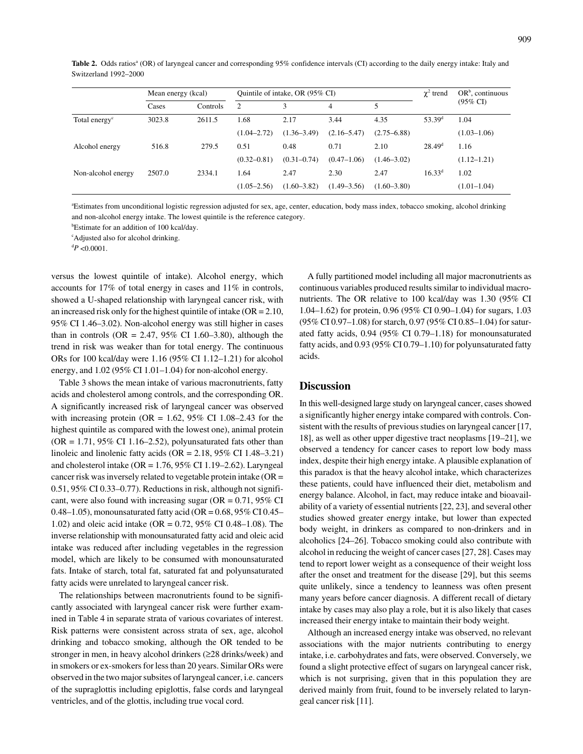Table 2. Odds ratios<sup>a</sup> (OR) of laryngeal cancer and corresponding 95% confidence intervals (CI) according to the daily energy intake: Italy and Switzerland 1992–2000

|                           | Mean energy (kcal) |          | Quintile of intake, OR (95% CI) |                 |                 |                 | $\chi^2$ trend  | $OR^b$ , continuous |  |
|---------------------------|--------------------|----------|---------------------------------|-----------------|-----------------|-----------------|-----------------|---------------------|--|
|                           | Cases              | Controls | 2                               | 3               | 4               |                 |                 | $(95\% \text{ CI})$ |  |
| Total energy <sup>c</sup> | 3023.8             | 2611.5   | 1.68                            | 2.17            | 3.44            | 4.35            | $53.39^d$       | 1.04                |  |
|                           |                    |          | $(1.04 - 2.72)$                 | $(1.36 - 3.49)$ | $(2.16 - 5.47)$ | $(2.75 - 6.88)$ |                 | $(1.03 - 1.06)$     |  |
| Alcohol energy            | 516.8              | 279.5    | 0.51                            | 0.48            | 0.71            | 2.10            | $28.49^{\rm d}$ | 1.16                |  |
|                           |                    |          | $(0.32 - 0.81)$                 | $(0.31 - 0.74)$ | $(0.47 - 1.06)$ | $(1.46 - 3.02)$ |                 | $(1.12 - 1.21)$     |  |
| Non-alcohol energy        | 2507.0             | 2334.1   | .64                             | 2.47            | 2.30            | 2.47            | $16.33^d$       | 1.02                |  |
|                           |                    |          | $(1.05 - 2.56)$                 | $(1.60 - 3.82)$ | $(1.49 - 3.56)$ | $(1.60 - 3.80)$ |                 | $(1.01-1.04)$       |  |

a Estimates from unconditional logistic regression adjusted for sex, age, center, education, body mass index, tobacco smoking, alcohol drinking and non-alcohol energy intake. The lowest quintile is the reference category.

<sup>b</sup>Estimate for an addition of 100 kcal/day.

c Adjusted also for alcohol drinking.

 $\mathrm{^{d}P}$  <0.0001.

versus the lowest quintile of intake). Alcohol energy, which accounts for 17% of total energy in cases and 11% in controls, showed a U-shaped relationship with laryngeal cancer risk, with an increased risk only for the highest quintile of intake (OR = 2.10, 95% CI 1.46–3.02). Non-alcohol energy was still higher in cases than in controls (OR = 2.47, 95% CI 1.60–3.80), although the trend in risk was weaker than for total energy. The continuous ORs for 100 kcal/day were 1.16 (95% CI 1.12–1.21) for alcohol energy, and 1.02 (95% CI 1.01–1.04) for non-alcohol energy.

Table 3 shows the mean intake of various macronutrients, fatty acids and cholesterol among controls, and the corresponding OR. A significantly increased risk of laryngeal cancer was observed with increasing protein (OR =  $1.62$ ,  $95\%$  CI  $1.08-2.43$  for the highest quintile as compared with the lowest one), animal protein  $(OR = 1.71, 95\% \text{ CI } 1.16 - 2.52)$ , polyunsaturated fats other than linoleic and linolenic fatty acids (OR = 2.18, 95% CI 1.48–3.21) and cholesterol intake (OR =  $1.76$ ,  $95\%$  CI 1.19–2.62). Laryngeal cancer risk was inversely related to vegetable protein intake (OR = 0.51, 95% CI 0.33–0.77). Reductions in risk, although not significant, were also found with increasing sugar ( $OR = 0.71$ ,  $95\%$  CI 0.48–1.05), monounsaturated fatty acid (OR =  $0.68$ , 95% CI 0.45– 1.02) and oleic acid intake (OR = 0.72, 95% CI 0.48–1.08). The inverse relationship with monounsaturated fatty acid and oleic acid intake was reduced after including vegetables in the regression model, which are likely to be consumed with monounsaturated fats. Intake of starch, total fat, saturated fat and polyunsaturated fatty acids were unrelated to laryngeal cancer risk.

The relationships between macronutrients found to be significantly associated with laryngeal cancer risk were further examined in Table 4 in separate strata of various covariates of interest. Risk patterns were consistent across strata of sex, age, alcohol drinking and tobacco smoking, although the OR tended to be stronger in men, in heavy alcohol drinkers (≥28 drinks/week) and in smokers or ex-smokers for less than 20 years. Similar ORs were observed in the two major subsites of laryngeal cancer, i.e. cancers of the supraglottis including epiglottis, false cords and laryngeal ventricles, and of the glottis, including true vocal cord.

A fully partitioned model including all major macronutrients as continuous variables produced results similar to individual macronutrients. The OR relative to 100 kcal/day was 1.30 (95% CI 1.04–1.62) for protein, 0.96 (95% CI 0.90–1.04) for sugars, 1.03 (95% CI 0.97–1.08) for starch, 0.97 (95% CI 0.85–1.04) for saturated fatty acids, 0.94 (95% CI 0.79–1.18) for monounsaturated fatty acids, and 0.93 (95% CI 0.79–1.10) for polyunsaturated fatty acids.

#### **Discussion**

In this well-designed large study on laryngeal cancer, cases showed a significantly higher energy intake compared with controls. Consistent with the results of previous studies on laryngeal cancer [17, 18], as well as other upper digestive tract neoplasms [19–21], we observed a tendency for cancer cases to report low body mass index, despite their high energy intake. A plausible explanation of this paradox is that the heavy alcohol intake, which characterizes these patients, could have influenced their diet, metabolism and energy balance. Alcohol, in fact, may reduce intake and bioavailability of a variety of essential nutrients [22, 23], and several other studies showed greater energy intake, but lower than expected body weight, in drinkers as compared to non-drinkers and in alcoholics [24–26]. Tobacco smoking could also contribute with alcohol in reducing the weight of cancer cases [27, 28]. Cases may tend to report lower weight as a consequence of their weight loss after the onset and treatment for the disease [29], but this seems quite unlikely, since a tendency to leanness was often present many years before cancer diagnosis. A different recall of dietary intake by cases may also play a role, but it is also likely that cases increased their energy intake to maintain their body weight.

Although an increased energy intake was observed, no relevant associations with the major nutrients contributing to energy intake, i.e. carbohydrates and fats, were observed. Conversely, we found a slight protective effect of sugars on laryngeal cancer risk, which is not surprising, given that in this population they are derived mainly from fruit, found to be inversely related to laryngeal cancer risk [11].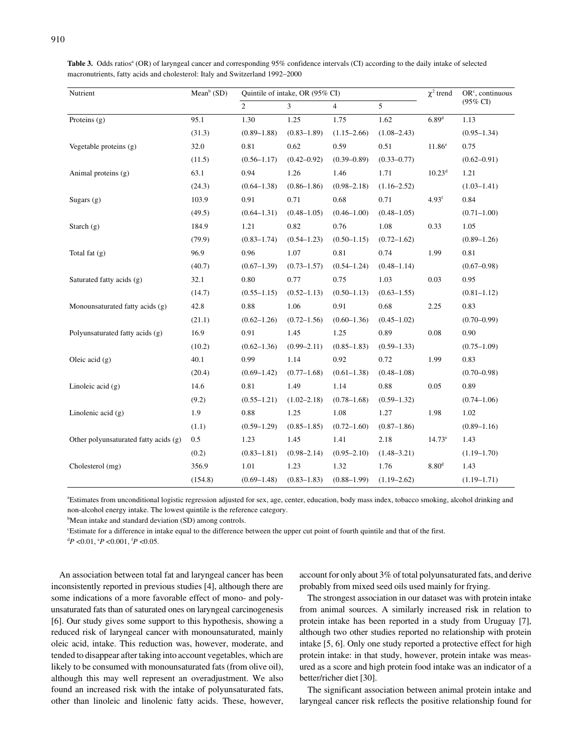| Mean <sup>b</sup> (SD)<br>Nutrient<br>Quintile of intake, OR (95% CI) |         |                 |                 |                 |                 | $\chi^2$ trend     | OR <sup>c</sup> , continuous |  |
|-----------------------------------------------------------------------|---------|-----------------|-----------------|-----------------|-----------------|--------------------|------------------------------|--|
|                                                                       |         | $\overline{c}$  | $\overline{3}$  | $\overline{4}$  | 5               |                    | (95% CI)                     |  |
| Proteins $(g)$                                                        | 95.1    | 1.30            | 1.25            | 1.75            | 1.62            | $6.89^{d}$         | 1.13                         |  |
|                                                                       | (31.3)  | $(0.89 - 1.88)$ | $(0.83 - 1.89)$ | $(1.15 - 2.66)$ | $(1.08 - 2.43)$ |                    | $(0.95 - 1.34)$              |  |
| Vegetable proteins (g)                                                | 32.0    | 0.81            | 0.62            | 0.59            | 0.51            | 11.86 <sup>e</sup> | 0.75                         |  |
|                                                                       | (11.5)  | $(0.56 - 1.17)$ | $(0.42 - 0.92)$ | $(0.39 - 0.89)$ | $(0.33 - 0.77)$ |                    | $(0.62 - 0.91)$              |  |
| Animal proteins (g)                                                   | 63.1    | 0.94            | 1.26            | 1.46            | 1.71            | $10.23^d$          | 1.21                         |  |
|                                                                       | (24.3)  | $(0.64 - 1.38)$ | $(0.86 - 1.86)$ | $(0.98 - 2.18)$ | $(1.16 - 2.52)$ |                    | $(1.03 - 1.41)$              |  |
| Sugars $(g)$                                                          | 103.9   | 0.91            | 0.71            | 0.68            | 0.71            | 4.93 <sup>f</sup>  | 0.84                         |  |
|                                                                       | (49.5)  | $(0.64 - 1.31)$ | $(0.48 - 1.05)$ | $(0.46 - 1.00)$ | $(0.48 - 1.05)$ |                    | $(0.71 - 1.00)$              |  |
| Starch $(g)$                                                          | 184.9   | 1.21            | 0.82            | 0.76            | $1.08\,$        | 0.33               | 1.05                         |  |
|                                                                       | (79.9)  | $(0.83 - 1.74)$ | $(0.54 - 1.23)$ | $(0.50 - 1.15)$ | $(0.72 - 1.62)$ |                    | $(0.89 - 1.26)$              |  |
| Total fat $(g)$                                                       | 96.9    | 0.96            | 1.07            | 0.81            | 0.74            | 1.99               | 0.81                         |  |
|                                                                       | (40.7)  | $(0.67 - 1.39)$ | $(0.73 - 1.57)$ | $(0.54 - 1.24)$ | $(0.48 - 1.14)$ |                    | $(0.67 - 0.98)$              |  |
| Saturated fatty acids (g)                                             | 32.1    | 0.80            | 0.77            | 0.75            | 1.03            | 0.03               | 0.95                         |  |
|                                                                       | (14.7)  | $(0.55 - 1.15)$ | $(0.52 - 1.13)$ | $(0.50 - 1.13)$ | $(0.63 - 1.55)$ |                    | $(0.81 - 1.12)$              |  |
| Monounsaturated fatty acids (g)                                       | 42.8    | 0.88            | 1.06            | 0.91            | 0.68            | 2.25               | 0.83                         |  |
|                                                                       | (21.1)  | $(0.62 - 1.26)$ | $(0.72 - 1.56)$ | $(0.60 - 1.36)$ | $(0.45 - 1.02)$ |                    | $(0.70 - 0.99)$              |  |
| Polyunsaturated fatty acids (g)                                       | 16.9    | 0.91            | 1.45            | 1.25            | 0.89            | 0.08               | 0.90                         |  |
|                                                                       | (10.2)  | $(0.62 - 1.36)$ | $(0.99 - 2.11)$ | $(0.85 - 1.83)$ | $(0.59 - 1.33)$ |                    | $(0.75 - 1.09)$              |  |
| Oleic acid $(g)$                                                      | 40.1    | 0.99            | 1.14            | 0.92            | 0.72            | 1.99               | 0.83                         |  |
|                                                                       | (20.4)  | $(0.69 - 1.42)$ | $(0.77-1.68)$   | $(0.61 - 1.38)$ | $(0.48 - 1.08)$ |                    | $(0.70 - 0.98)$              |  |
| Linoleic acid $(g)$                                                   | 14.6    | 0.81            | 1.49            | 1.14            | 0.88            | 0.05               | 0.89                         |  |
|                                                                       | (9.2)   | $(0.55 - 1.21)$ | $(1.02 - 2.18)$ | $(0.78 - 1.68)$ | $(0.59 - 1.32)$ |                    | $(0.74 - 1.06)$              |  |
| Linolenic acid $(g)$                                                  | 1.9     | 0.88            | 1.25            | 1.08            | 1.27            | 1.98               | 1.02                         |  |
|                                                                       | (1.1)   | $(0.59 - 1.29)$ | $(0.85 - 1.85)$ | $(0.72 - 1.60)$ | $(0.87 - 1.86)$ |                    | $(0.89 - 1.16)$              |  |
| Other polyunsaturated fatty acids (g)                                 | 0.5     | 1.23            | 1.45            | 1.41            | 2.18            | $14.73^e$          | 1.43                         |  |
|                                                                       | (0.2)   | $(0.83 - 1.81)$ | $(0.98 - 2.14)$ | $(0.95 - 2.10)$ | $(1.48 - 3.21)$ |                    | $(1.19 - 1.70)$              |  |
| Cholesterol (mg)                                                      | 356.9   | 1.01            | 1.23            | 1.32            | 1.76            | 8.80 <sup>d</sup>  | 1.43                         |  |
|                                                                       | (154.8) | $(0.69 - 1.48)$ | $(0.83 - 1.83)$ | $(0.88 - 1.99)$ | $(1.19 - 2.62)$ |                    | $(1.19 - 1.71)$              |  |

Table 3. Odds ratios<sup>a</sup> (OR) of laryngeal cancer and corresponding 95% confidence intervals (CI) according to the daily intake of selected macronutrients, fatty acids and cholesterol: Italy and Switzerland 1992–2000

a Estimates from unconditional logistic regression adjusted for sex, age, center, education, body mass index, tobacco smoking, alcohol drinking and non-alcohol energy intake. The lowest quintile is the reference category.

<sup>b</sup>Mean intake and standard deviation (SD) among controls.

c Estimate for a difference in intake equal to the difference between the upper cut point of fourth quintile and that of the first.

 ${}^{d}P$  <0.01,  ${}^{e}P$  <0.001,  ${}^{f}P$  <0.05.

An association between total fat and laryngeal cancer has been inconsistently reported in previous studies [4], although there are some indications of a more favorable effect of mono- and polyunsaturated fats than of saturated ones on laryngeal carcinogenesis [6]. Our study gives some support to this hypothesis, showing a reduced risk of laryngeal cancer with monounsaturated, mainly oleic acid, intake. This reduction was, however, moderate, and tended to disappear after taking into account vegetables, which are likely to be consumed with monounsaturated fats (from olive oil), although this may well represent an overadjustment. We also found an increased risk with the intake of polyunsaturated fats, other than linoleic and linolenic fatty acids. These, however, account for only about 3% of total polyunsaturated fats, and derive probably from mixed seed oils used mainly for frying.

The strongest association in our dataset was with protein intake from animal sources. A similarly increased risk in relation to protein intake has been reported in a study from Uruguay [7], although two other studies reported no relationship with protein intake [5, 6]. Only one study reported a protective effect for high protein intake: in that study, however, protein intake was measured as a score and high protein food intake was an indicator of a better/richer diet [30].

The significant association between animal protein intake and laryngeal cancer risk reflects the positive relationship found for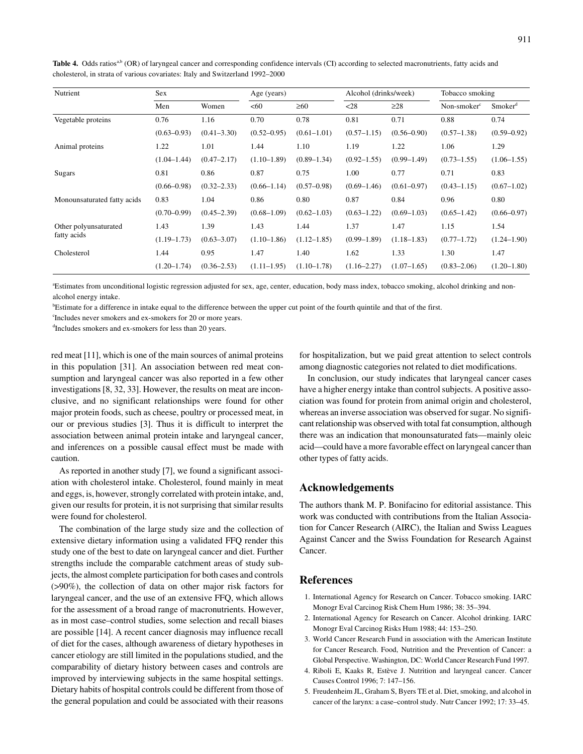| Nutrient                    | Sex             |                 | Age (years)     |                 | Alcohol (drinks/week) |                 | Tobacco smoking       |                     |
|-----------------------------|-----------------|-----------------|-----------------|-----------------|-----------------------|-----------------|-----------------------|---------------------|
|                             | Men             | Women           | <60             | $\geq 60$       | $28$                  | $\geq$ 28       | Non-smoker $\epsilon$ | Smoker <sup>d</sup> |
| Vegetable proteins          | 0.76            | 1.16            | 0.70            | 0.78            | 0.81                  | 0.71            | 0.88                  | 0.74                |
|                             | $(0.63 - 0.93)$ | $(0.41 - 3.30)$ | $(0.52 - 0.95)$ | $(0.61 - 1.01)$ | $(0.57 - 1.15)$       | $(0.56 - 0.90)$ | $(0.57 - 1.38)$       | $(0.59 - 0.92)$     |
| Animal proteins             | 1.22            | 1.01            | 1.44            | 1.10            | 1.19                  | 1.22            | 1.06                  | 1.29                |
|                             | $(1.04 - 1.44)$ | $(0.47 - 2.17)$ | $(1.10-1.89)$   | $(0.89 - 1.34)$ | $(0.92 - 1.55)$       | $(0.99 - 1.49)$ | $(0.73 - 1.55)$       | $(1.06 - 1.55)$     |
| Sugars                      | 0.81            | 0.86            | 0.87            | 0.75            | 1.00                  | 0.77            | 0.71                  | 0.83                |
|                             | $(0.66 - 0.98)$ | $(0.32 - 2.33)$ | $(0.66 - 1.14)$ | $(0.57 - 0.98)$ | $(0.69 - 1.46)$       | $(0.61 - 0.97)$ | $(0.43 - 1.15)$       | $(0.67 - 1.02)$     |
| Monounsaturated fatty acids | 0.83            | 1.04            | 0.86            | 0.80            | 0.87                  | 0.84            | 0.96                  | 0.80                |
|                             | $(0.70 - 0.99)$ | $(0.45 - 2.39)$ | $(0.68 - 1.09)$ | $(0.62 - 1.03)$ | $(0.63 - 1.22)$       | $(0.69 - 1.03)$ | $(0.65 - 1.42)$       | $(0.66 - 0.97)$     |
| Other polyunsaturated       | 1.43            | 1.39            | 1.43            | 1.44            | 1.37                  | 1.47            | 1.15                  | 1.54                |
| fatty acids                 | $(1.19 - 1.73)$ | $(0.63 - 3.07)$ | $(1.10 - 1.86)$ | $(1.12 - 1.85)$ | $(0.99 - 1.89)$       | $(1.18 - 1.83)$ | $(0.77 - 1.72)$       | $(1.24 - 1.90)$     |
| Cholesterol                 | 1.44            | 0.95            | 1.47            | 1.40            | 1.62                  | 1.33            | 1.30                  | 1.47                |
|                             | $(1.20 - 1.74)$ | $(0.36 - 2.53)$ | $(1.11-1.95)$   | $(1.10 - 1.78)$ | $(1.16 - 2.27)$       | $(1.07-1.65)$   | $(0.83 - 2.06)$       | $(1.20 - 1.80)$     |

Table 4. Odds ratios<sup>a,b</sup> (OR) of laryngeal cancer and corresponding confidence intervals (CI) according to selected macronutrients, fatty acids and cholesterol, in strata of various covariates: Italy and Switzerland 1992–2000

a Estimates from unconditional logistic regression adjusted for sex, age, center, education, body mass index, tobacco smoking, alcohol drinking and nonalcohol energy intake.

<sup>b</sup>Estimate for a difference in intake equal to the difference between the upper cut point of the fourth quintile and that of the first.

c Includes never smokers and ex-smokers for 20 or more years.

d Includes smokers and ex-smokers for less than 20 years.

red meat [11], which is one of the main sources of animal proteins in this population [31]. An association between red meat consumption and laryngeal cancer was also reported in a few other investigations [8, 32, 33]. However, the results on meat are inconclusive, and no significant relationships were found for other major protein foods, such as cheese, poultry or processed meat, in our or previous studies [3]. Thus it is difficult to interpret the association between animal protein intake and laryngeal cancer, and inferences on a possible causal effect must be made with caution.

As reported in another study [7], we found a significant association with cholesterol intake. Cholesterol, found mainly in meat and eggs, is, however, strongly correlated with protein intake, and, given our results for protein, it is not surprising that similar results were found for cholesterol.

The combination of the large study size and the collection of extensive dietary information using a validated FFQ render this study one of the best to date on laryngeal cancer and diet. Further strengths include the comparable catchment areas of study subjects, the almost complete participation for both cases and controls (>90%), the collection of data on other major risk factors for laryngeal cancer, and the use of an extensive FFQ, which allows for the assessment of a broad range of macronutrients. However, as in most case–control studies, some selection and recall biases are possible [14]. A recent cancer diagnosis may influence recall of diet for the cases, although awareness of dietary hypotheses in cancer etiology are still limited in the populations studied, and the comparability of dietary history between cases and controls are improved by interviewing subjects in the same hospital settings. Dietary habits of hospital controls could be different from those of the general population and could be associated with their reasons

for hospitalization, but we paid great attention to select controls among diagnostic categories not related to diet modifications.

In conclusion, our study indicates that laryngeal cancer cases have a higher energy intake than control subjects. A positive association was found for protein from animal origin and cholesterol, whereas an inverse association was observed for sugar. No significant relationship was observed with total fat consumption, although there was an indication that monounsaturated fats—mainly oleic acid—could have a more favorable effect on laryngeal cancer than other types of fatty acids.

### **Acknowledgements**

The authors thank M. P. Bonifacino for editorial assistance. This work was conducted with contributions from the Italian Association for Cancer Research (AIRC), the Italian and Swiss Leagues Against Cancer and the Swiss Foundation for Research Against Cancer.

# **References**

- 1. International Agency for Research on Cancer. Tobacco smoking. IARC Monogr Eval Carcinog Risk Chem Hum 1986; 38: 35–394.
- 2. International Agency for Research on Cancer. Alcohol drinking. IARC Monogr Eval Carcinog Risks Hum 1988; 44: 153–250.
- 3. World Cancer Research Fund in association with the American Institute for Cancer Research. Food, Nutrition and the Prevention of Cancer: a Global Perspective. Washington, DC: World Cancer Research Fund 1997.
- 4. Riboli E, Kaaks R, Estève J. Nutrition and laryngeal cancer. Cancer Causes Control 1996; 7: 147–156.
- 5. Freudenheim JL, Graham S, Byers TE et al. Diet, smoking, and alcohol in cancer of the larynx: a case–control study. Nutr Cancer 1992; 17: 33–45.